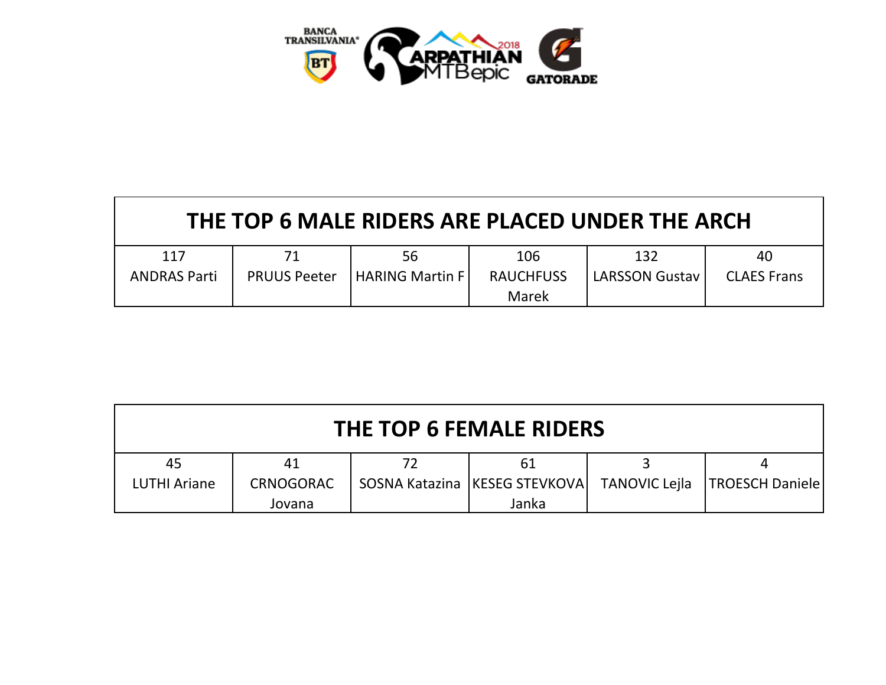

| THE TOP 6 MALE RIDERS ARE PLACED UNDER THE ARCH |                     |                         |                  |                       |                    |  |  |  |
|-------------------------------------------------|---------------------|-------------------------|------------------|-----------------------|--------------------|--|--|--|
| 117                                             |                     | 56                      | 106              | 132                   | 40                 |  |  |  |
| <b>ANDRAS Parti</b>                             | <b>PRUUS Peeter</b> | <b>HARING Martin FI</b> | <b>RAUCHFUSS</b> | <b>LARSSON Gustav</b> | <b>CLAES Frans</b> |  |  |  |
|                                                 |                     |                         | Marek            |                       |                    |  |  |  |

| THE TOP 6 FEMALE RIDERS |           |  |                                 |                      |                        |  |  |
|-------------------------|-----------|--|---------------------------------|----------------------|------------------------|--|--|
| 45                      | 41        |  | 61                              |                      |                        |  |  |
| <b>LUTHI Ariane</b>     | CRNOGORAC |  | SOSNA Katazina   KESEG STEVKOVA | <b>TANOVIC Lejla</b> | <b>TROESCH Daniele</b> |  |  |
|                         | Jovana    |  | Janka                           |                      |                        |  |  |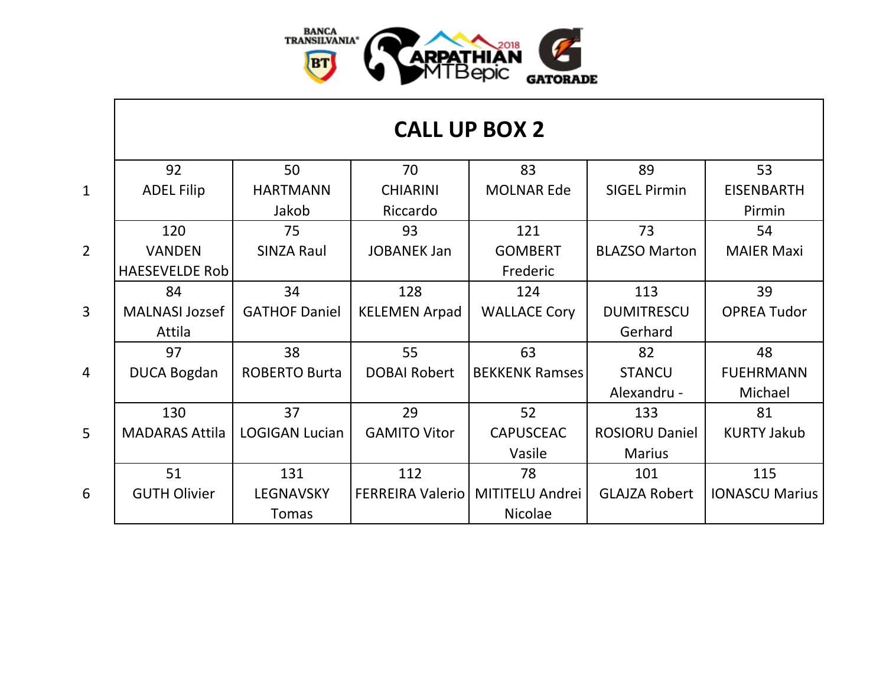

|                | 92                    | 50                    | 70                      | 83                     | 89                    | 53                    |
|----------------|-----------------------|-----------------------|-------------------------|------------------------|-----------------------|-----------------------|
| $\mathbf{1}$   | <b>ADEL Filip</b>     | <b>HARTMANN</b>       | <b>CHIARINI</b>         | <b>MOLNAR Ede</b>      | <b>SIGEL Pirmin</b>   | <b>EISENBARTH</b>     |
|                |                       | Jakob                 | Riccardo                |                        |                       | Pirmin                |
|                | 120                   | 75                    | 93                      | 121                    | 73                    | 54                    |
| $\overline{2}$ | <b>VANDEN</b>         | <b>SINZA Raul</b>     | <b>JOBANEK Jan</b>      | <b>GOMBERT</b>         | <b>BLAZSO Marton</b>  | <b>MAIER Maxi</b>     |
|                | <b>HAESEVELDE Rob</b> |                       |                         | Frederic               |                       |                       |
|                | 84                    | 34                    | 128                     | 124                    | 113                   | 39                    |
| $\overline{3}$ | <b>MALNASI Jozsef</b> | <b>GATHOF Daniel</b>  | <b>KELEMEN Arpad</b>    | <b>WALLACE Cory</b>    | <b>DUMITRESCU</b>     | <b>OPREA Tudor</b>    |
|                | Attila                |                       |                         |                        | Gerhard               |                       |
|                | 97                    | 38                    | 55                      | 63                     | 82                    | 48                    |
| $\overline{4}$ | <b>DUCA Bogdan</b>    | <b>ROBERTO Burta</b>  | <b>DOBAI Robert</b>     | <b>BEKKENK Ramses</b>  | <b>STANCU</b>         | <b>FUEHRMANN</b>      |
|                |                       |                       |                         |                        | Alexandru -           | Michael               |
|                | 130                   | 37                    | 29                      | 52                     | 133                   | 81                    |
| $\overline{5}$ | <b>MADARAS Attila</b> | <b>LOGIGAN Lucian</b> | <b>GAMITO Vitor</b>     | <b>CAPUSCEAC</b>       | <b>ROSIORU Daniel</b> | <b>KURTY Jakub</b>    |
|                |                       |                       |                         | Vasile                 | <b>Marius</b>         |                       |
|                | 51                    | 131                   | 112                     | 78                     | 101                   | 115                   |
| 6              | <b>GUTH Olivier</b>   | <b>LEGNAVSKY</b>      | <b>FERREIRA Valerio</b> | <b>MITITELU Andrei</b> | <b>GLAJZA Robert</b>  | <b>IONASCU Marius</b> |
|                |                       | Tomas                 |                         | <b>Nicolae</b>         |                       |                       |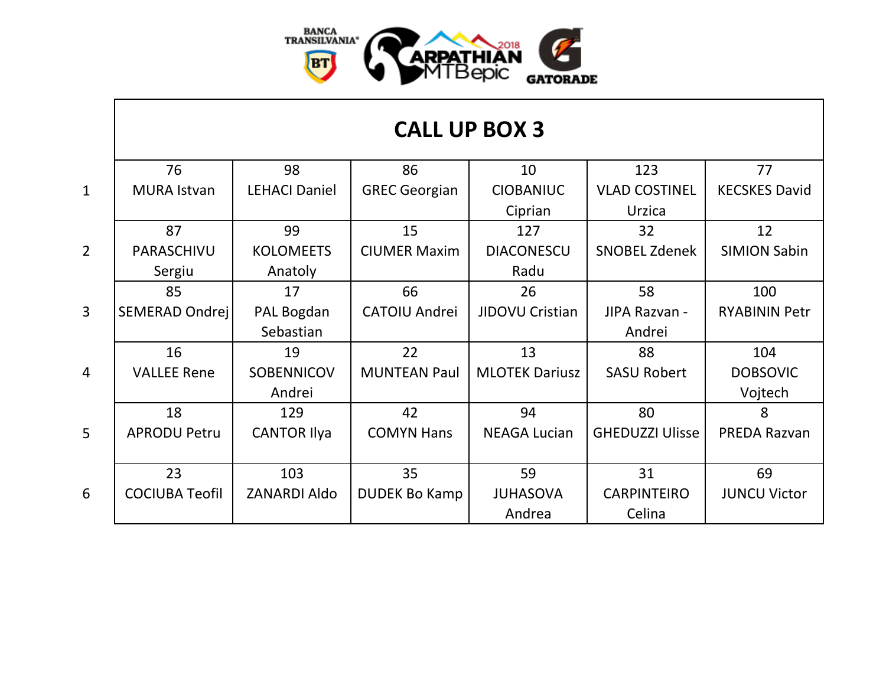

|                | 76                    | 98                   | 86                   | 10                    | 123                    | 77                   |
|----------------|-----------------------|----------------------|----------------------|-----------------------|------------------------|----------------------|
| $\mathbf{1}$   | <b>MURA Istvan</b>    | <b>LEHACI Daniel</b> | <b>GREC Georgian</b> | <b>CIOBANIUC</b>      | <b>VLAD COSTINEL</b>   | <b>KECSKES David</b> |
|                |                       |                      |                      | Ciprian               | Urzica                 |                      |
|                | 87                    | 99                   | 15                   | 127                   | 32                     | 12                   |
| $\overline{2}$ | PARASCHIVU            | <b>KOLOMEETS</b>     | <b>CIUMER Maxim</b>  | <b>DIACONESCU</b>     | <b>SNOBEL Zdenek</b>   | <b>SIMION Sabin</b>  |
|                | Sergiu                | Anatoly              |                      | Radu                  |                        |                      |
|                | 85                    | 17                   | 66                   | 26                    | 58                     | 100                  |
| $\overline{3}$ | SEMERAD Ondrej        | PAL Bogdan           | <b>CATOIU Andrei</b> | JIDOVU Cristian       | JIPA Razvan -          | <b>RYABININ Petr</b> |
|                |                       | Sebastian            |                      |                       | Andrei                 |                      |
|                | 16                    | 19                   | 22                   | 13                    | 88                     | 104                  |
| $\overline{4}$ | <b>VALLEE Rene</b>    | <b>SOBENNICOV</b>    | <b>MUNTEAN Paul</b>  | <b>MLOTEK Dariusz</b> | <b>SASU Robert</b>     | <b>DOBSOVIC</b>      |
|                |                       | Andrei               |                      |                       |                        | Vojtech              |
|                | 18                    | 129                  | 42                   | 94                    | 80                     | 8                    |
| 5 <sup>5</sup> | <b>APRODU Petru</b>   | <b>CANTOR Ilya</b>   | <b>COMYN Hans</b>    | <b>NEAGA Lucian</b>   | <b>GHEDUZZI Ulisse</b> | PREDA Razvan         |
|                |                       |                      |                      |                       |                        |                      |
|                | 23                    | 103                  | 35                   | 59                    | 31                     | 69                   |
| 6              | <b>COCIUBA Teofil</b> | <b>ZANARDI Aldo</b>  | <b>DUDEK Bo Kamp</b> | <b>JUHASOVA</b>       | <b>CARPINTEIRO</b>     | <b>JUNCU Victor</b>  |
|                |                       |                      |                      | Andrea                | Celina                 |                      |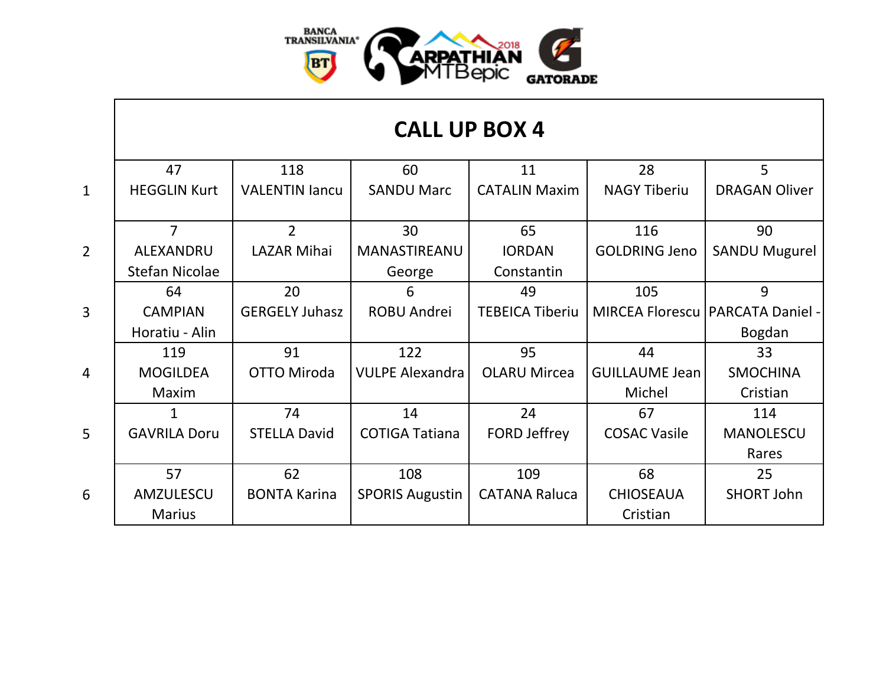

|                 | 47                    | 118                   | 60                     | 11                     | 28                    | 5                                  |
|-----------------|-----------------------|-----------------------|------------------------|------------------------|-----------------------|------------------------------------|
| $\mathbf{1}$    | <b>HEGGLIN Kurt</b>   | <b>VALENTIN lancu</b> | <b>SANDU Marc</b>      | <b>CATALIN Maxim</b>   | <b>NAGY Tiberiu</b>   | <b>DRAGAN Oliver</b>               |
|                 |                       |                       |                        |                        |                       |                                    |
|                 | $\overline{7}$        | $\overline{2}$        | 30                     | 65                     | 116                   | 90                                 |
| $\overline{2}$  | <b>ALEXANDRU</b>      | <b>LAZAR Mihai</b>    | MANASTIREANU           | <b>IORDAN</b>          | <b>GOLDRING Jeno</b>  | <b>SANDU Mugurel</b>               |
|                 | <b>Stefan Nicolae</b> |                       | George                 | Constantin             |                       |                                    |
|                 | 64                    | 20                    | 6                      | 49                     | 105                   | 9                                  |
| $\overline{3}$  | <b>CAMPIAN</b>        | <b>GERGELY Juhasz</b> | <b>ROBU Andrei</b>     | <b>TEBEICA Tiberiu</b> |                       | MIRCEA Florescu   PARCATA Daniel - |
|                 | Horatiu - Alin        |                       |                        |                        |                       | Bogdan                             |
|                 | 119                   | 91                    | 122                    | 95                     | 44                    | 33                                 |
| $\overline{4}$  | <b>MOGILDEA</b>       | <b>OTTO Miroda</b>    | <b>VULPE Alexandra</b> | <b>OLARU Mircea</b>    | <b>GUILLAUME Jean</b> | <b>SMOCHINA</b>                    |
|                 | Maxim                 |                       |                        |                        | Michel                | Cristian                           |
|                 | $\mathbf{1}$          | 74                    | 14                     | 24                     | 67                    | 114                                |
| $5\overline{)}$ | <b>GAVRILA Doru</b>   | <b>STELLA David</b>   | <b>COTIGA Tatiana</b>  | <b>FORD Jeffrey</b>    | <b>COSAC Vasile</b>   | <b>MANOLESCU</b>                   |
|                 |                       |                       |                        |                        |                       | Rares                              |
|                 | 57                    | 62                    | 108                    | 109                    | 68                    | 25                                 |
| 6               | AMZULESCU             | <b>BONTA Karina</b>   | <b>SPORIS Augustin</b> | <b>CATANA Raluca</b>   | <b>CHIOSEAUA</b>      | <b>SHORT John</b>                  |
|                 | <b>Marius</b>         |                       |                        |                        | Cristian              |                                    |